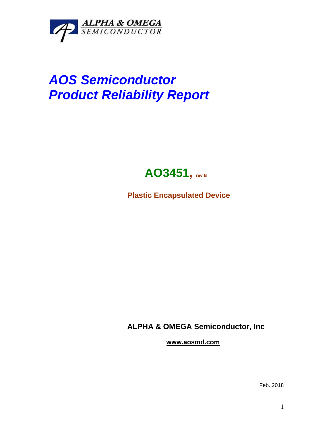

## *AOS Semiconductor Product Reliability Report*



**Plastic Encapsulated Device**

**ALPHA & OMEGA Semiconductor, Inc**

**www.aosmd.com**

Feb. 2018